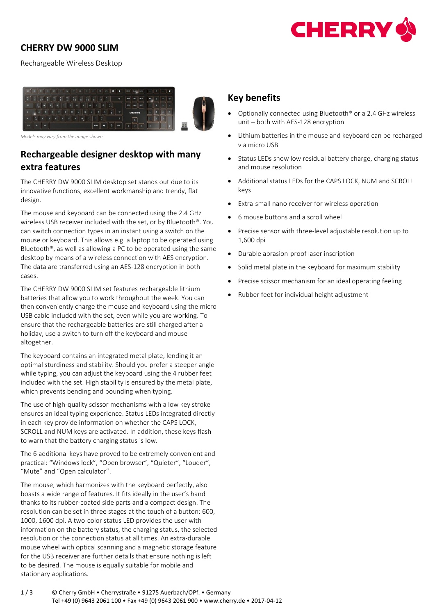

## **CHERRY DW 9000 SLIM**

Rechargeable Wireless Desktop



*Models may vary from the image shown*

## **Rechargeable designer desktop with many extra features**

The CHERRY DW 9000 SLIM desktop set stands out due to its innovative functions, excellent workmanship and trendy, flat design.

The mouse and keyboard can be connected using the 2.4 GHz wireless USB receiver included with the set, or by Bluetooth®. You can switch connection types in an instant using a switch on the mouse or keyboard. This allows e.g. a laptop to be operated using Bluetooth®, as well as allowing a PC to be operated using the same desktop by means of a wireless connection with AES encryption. The data are transferred using an AES-128 encryption in both cases.

The CHERRY DW 9000 SLIM set features rechargeable lithium batteries that allow you to work throughout the week. You can then conveniently charge the mouse and keyboard using the micro USB cable included with the set, even while you are working. To ensure that the rechargeable batteries are still charged after a holiday, use a switch to turn off the keyboard and mouse altogether.

The keyboard contains an integrated metal plate, lending it an optimal sturdiness and stability. Should you prefer a steeper angle while typing, you can adjust the keyboard using the 4 rubber feet included with the set. High stability is ensured by the metal plate, which prevents bending and bounding when typing.

The use of high-quality scissor mechanisms with a low key stroke ensures an ideal typing experience. Status LEDs integrated directly in each key provide information on whether the CAPS LOCK, SCROLL and NUM keys are activated. In addition, these keys flash to warn that the battery charging status is low.

The 6 additional keys have proved to be extremely convenient and practical: "Windows lock", "Open browser", "Quieter", "Louder", "Mute" and "Open calculator".

The mouse, which harmonizes with the keyboard perfectly, also boasts a wide range of features. It fits ideally in the user's hand thanks to its rubber-coated side parts and a compact design. The resolution can be set in three stages at the touch of a button: 600, 1000, 1600 dpi. A two-color status LED provides the user with information on the battery status, the charging status, the selected resolution or the connection status at all times. An extra-durable mouse wheel with optical scanning and a magnetic storage feature for the USB receiver are further details that ensure nothing is left to be desired. The mouse is equally suitable for mobile and stationary applications.

## **Key benefits**

- Optionally connected using Bluetooth<sup>®</sup> or a 2.4 GHz wireless unit – both with AES-128 encryption
- Lithium batteries in the mouse and keyboard can be recharged via micro USB
- Status LEDs show low residual battery charge, charging status and mouse resolution
- Additional status LEDs for the CAPS LOCK, NUM and SCROLL keys
- Extra-small nano receiver for wireless operation
- 6 mouse buttons and a scroll wheel
- Precise sensor with three-level adjustable resolution up to 1,600 dpi
- Durable abrasion-proof laser inscription
- Solid metal plate in the keyboard for maximum stability
- Precise scissor mechanism for an ideal operating feeling
- Rubber feet for individual height adjustment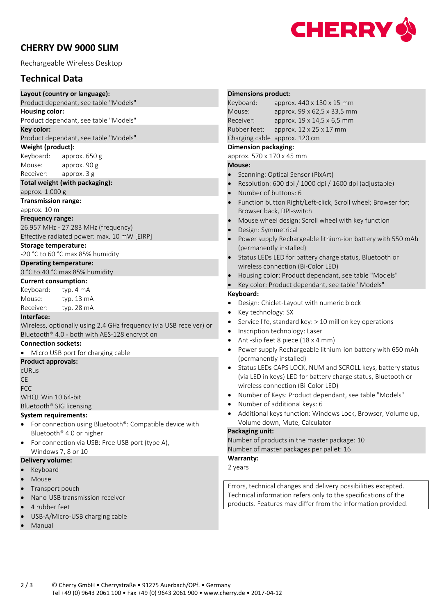## **CHERRY DW 9000 SLIM**

Rechargeable Wireless Desktop

## **Technical Data**

**Layout (country or language):**

Product dependant, see table "Models"

**Housing color:**

Product dependant, see table "Models"

#### **Key color:**

Product dependant, see table "Models"

#### **Weight (product):**

Keyboard: approx. 650 g Mouse: approx. 90 g Receiver: approx. 3 g

#### **Total weight (with packaging):**

approx. 1.000 g

**Transmission range:**

approx. 10 m

#### **Frequency range:**

26.957 MHz - 27.283 MHz (frequency) Effective radiated power: max. 10 mW [EIRP]

#### **Storage temperature:**

-20 °C to 60 °C max 85% humidity

#### **Operating temperature:**

0 °C to 40 °C max 85% humidity

#### **Current consumption:**

| Keyboard: | typ. 4 mA            |
|-----------|----------------------|
| Mouse:    | typ. $13 \text{ mA}$ |
| Receiver: | typ. $28 \text{ mA}$ |

#### **Interface:**

Wireless, optionally using 2.4 GHz frequency (via USB receiver) or Bluetooth® 4.0 - both with AES-128 encryption

#### **Connection sockets:**

• Micro USB port for charging cable

#### **Product approvals:**

cURus CE

**FCC** 

WHQL Win 10 64-bit

### Bluetooth® SIG licensing

#### **System requirements:**

- For connection using Bluetooth®: Compatible device with Bluetooth® 4.0 or higher
- For connection via USB: Free USB port (type A), Windows 7, 8 or 10

#### **Delivery volume:**

- Keyboard
- Mouse
- Transport pouch
- Nano-USB transmission receiver
- 4 rubber feet
- USB-A/Micro-USB charging cable
- Manual

## **Dimensions product:** Keyboard: approx. 440 x 130 x 15 mm Mouse: approx. 99 x 62,5 x 33,5 mm Receiver: approx. 19 x 14,5 x 6,5 mm Rubber feet: approx. 12 x 25 x 17 mm Charging cable approx. 120 cm **Dimension packaging:** approx. 570 x 170 x 45 mm **Mouse:** • Scanning: Optical Sensor (PixArt) • Resolution: 600 dpi / 1000 dpi / 1600 dpi (adjustable) • Number of buttons: 6 • Function button Right/Left-click, Scroll wheel; Browser for; Browser back, DPI-switch • Mouse wheel design: Scroll wheel with key function

- Design: Symmetrical
- Power supply Rechargeable lithium-ion battery with 550 mAh (permanently installed)
- Status LEDs LED for battery charge status, Bluetooth or wireless connection (Bi-Color LED)
- Housing color: Product dependant, see table "Models"
	- Key color: Product dependant, see table "Models"

#### **Keyboard:**

- Design: Chiclet-Layout with numeric block
- Key technology: SX
- Service life, standard key: > 10 million key operations
- Inscription technology: Laser
- Anti-slip feet 8 piece (18 x 4 mm)
- Power supply Rechargeable lithium-ion battery with 650 mAh (permanently installed)
- Status LEDs CAPS LOCK, NUM and SCROLL keys, battery status (via LED in keys) LED for battery charge status, Bluetooth or wireless connection (Bi-Color LED)
- Number of Keys: Product dependant, see table "Models"
- Number of additional keys: 6
- Additional keys function: Windows Lock, Browser, Volume up, Volume down, Mute, Calculator

#### **Packaging unit:**

Number of products in the master package: 10 Number of master packages per pallet: 16

**Warranty:**

2 years

Errors, technical changes and delivery possibilities excepted. Technical information refers only to the specifications of the products. Features may differ from the information provided.

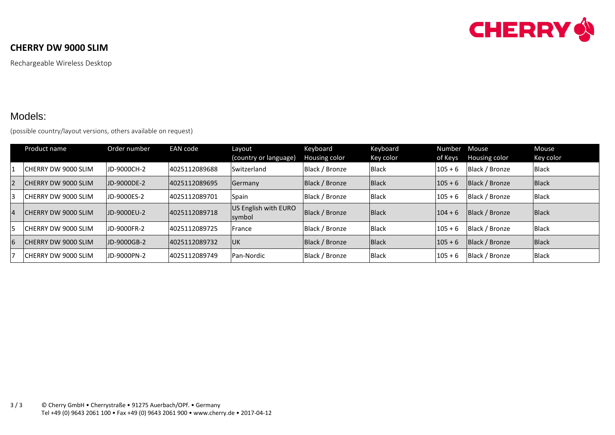

## **CHERRY DW 9000 SLIM**

Rechargeable Wireless Desktop

## Models:

(possible country/layout versions, others available on request)

|                | Product name                | Order number       | EAN code      | Layout<br>(country or language) | Keyboard<br>Housing color | Keyboard<br>Key color | Number<br>of Keys | Mouse<br>Housing color | Mouse<br>Key color |
|----------------|-----------------------------|--------------------|---------------|---------------------------------|---------------------------|-----------------------|-------------------|------------------------|--------------------|
|                | <b>ICHERRY DW 9000 SLIM</b> | IJD-9000CH-2       | 4025112089688 | Switzerland                     | Black / Bronze            | <b>Black</b>          | $105 + 6$         | Black / Bronze         | Black              |
| $\overline{2}$ | <b>ICHERRY DW 9000 SLIM</b> | JD-9000DE-2        | 4025112089695 | Germany                         | Black / Bronze            | Black                 | $105 + 6$         | Black / Bronze         | Black              |
| 3              | <b>CHERRY DW 9000 SLIM</b>  | <b>JD-9000ES-2</b> | 4025112089701 | Spain                           | Black / Bronze            | <b>Black</b>          | $105 + 6$         | Black / Bronze         | Black              |
|                | <b>CHERRY DW 9000 SLIM</b>  | <b>JD-9000EU-2</b> | 4025112089718 | US English with EURO<br>symbol  | Black / Bronze            | <b>Black</b>          | $104 + 6$         | Black / Bronze         | Black              |
| 5              | <b>ICHERRY DW 9000 SLIM</b> | JD-9000FR-2        | 4025112089725 | France                          | Black / Bronze            | <b>Black</b>          | $105 + 6$         | Black / Bronze         | <b>Black</b>       |
| 6              | <b>CHERRY DW 9000 SLIM</b>  | JD-9000GB-2        | 4025112089732 | <b>IUK</b>                      | Black / Bronze            | <b>Black</b>          | $105 + 6$         | Black / Bronze         | Black              |
|                | <b>CHERRY DW 9000 SLIM</b>  | UD-9000PN-2        | 4025112089749 | Pan-Nordic                      | Black / Bronze            | <b>Black</b>          | $105 + 6$         | Black / Bronze         | Black              |